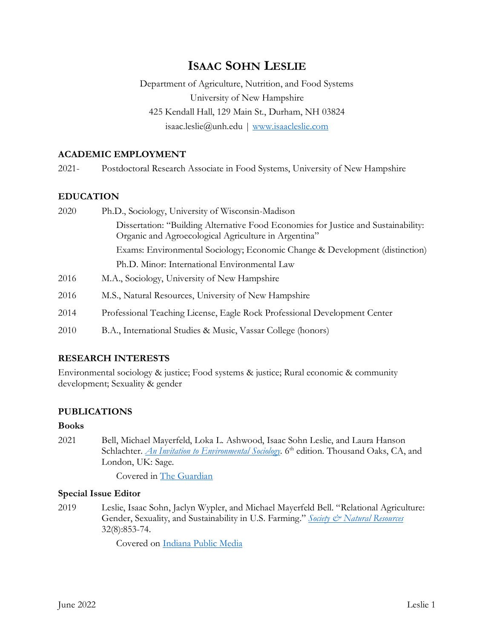# **ISAAC SOHN LESLIE**

Department of Agriculture, Nutrition, and Food Systems University of New Hampshire 425 Kendall Hall, 129 Main St., Durham, NH 03824 isaac.leslie@unh.edu | [www.isaacleslie.com](http://isaacleslie.com/)

### **ACADEMIC EMPLOYMENT**

2021- Postdoctoral Research Associate in Food Systems, University of New Hampshire

### **EDUCATION**

| 2020 | Ph.D., Sociology, University of Wisconsin-Madison                                                                                          |
|------|--------------------------------------------------------------------------------------------------------------------------------------------|
|      | Dissertation: "Building Alternative Food Economies for Justice and Sustainability:<br>Organic and Agroecological Agriculture in Argentina" |
|      | Exams: Environmental Sociology; Economic Change & Development (distinction)                                                                |
|      | Ph.D. Minor: International Environmental Law                                                                                               |
| 2016 | M.A., Sociology, University of New Hampshire                                                                                               |
| 2016 | M.S., Natural Resources, University of New Hampshire                                                                                       |
| 2014 | Professional Teaching License, Eagle Rock Professional Development Center                                                                  |
| 2010 | B.A., International Studies & Music, Vassar College (honors)                                                                               |

#### **RESEARCH INTERESTS**

Environmental sociology & justice; Food systems & justice; Rural economic & community development; Sexuality & gender

## **PUBLICATIONS**

### **Books**

2021 Bell, Michael Mayerfeld, Loka L. Ashwood, Isaac Sohn Leslie, and Laura Hanson Schlachter. *[An Invitation to Environmental Sociology](https://us.sagepub.com/en-us/nam/an-invitation-to-environmental-sociology/book255384)*. 6<sup>th</sup> edition. Thousand Oaks, CA, and London, UK: Sage.

Covered in [The Guardian](https://www.theguardian.com/lifeandstyle/2021/nov/13/children-parenthood-climate-crisis)

#### **Special Issue Editor**

2019 Leslie, Isaac Sohn, Jaclyn Wypler, and Michael Mayerfeld Bell. "Relational Agriculture: Gender, Sexuality, and Sustainability in U.S. Farming." [Society & Natural Resources](https://www.tandfonline.com/doi/full/10.1080/08941920.2019.1610626) 32(8):853-74.

Covered on [Indiana Public Media](https://indianapublicmedia.org/eartheats/queering-the-food-system-with-ike-leslie.php)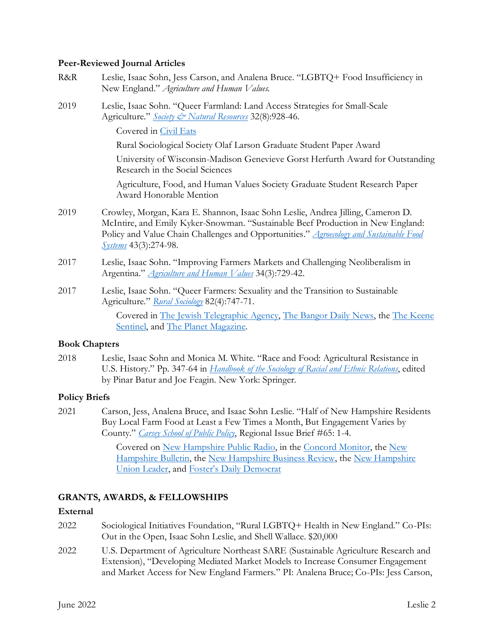#### **Peer-Reviewed Journal Articles**

- R&R Leslie, Isaac Sohn, Jess Carson, and Analena Bruce. "LGBTQ+ Food Insufficiency in New England." *Agriculture and Human Values.*
- 2019 Leslie, Isaac Sohn. "Queer Farmland: Land Access Strategies for Small-Scale Agriculture." *[Society & Natural Resources](https://doi.org/10.1080/08941920.2018.1561964)* 32(8):928-46.

Covered in [Civil Eats](https://civileats.com/2021/04/01/queer-bipoc-farmers-are-working-for-a-more-inclusive-and-just-farming-culture/)

Rural Sociological Society Olaf Larson Graduate Student Paper Award

University of Wisconsin-Madison Genevieve Gorst Herfurth Award for Outstanding Research in the Social Sciences

Agriculture, Food, and Human Values Society Graduate Student Research Paper Award Honorable Mention

- 2019 Crowley, Morgan, Kara E. Shannon, Isaac Sohn Leslie, Andrea Jilling, Cameron D. McIntire, and Emily Kyker-Snowman. "Sustainable Beef Production in New England: Policy and Value Chain Challenges and Opportunities." *[Agroecology and Sustainable Food](https://www.tandfonline.com/doi/full/10.1080/21683565.2018.1492494)  [Systems](https://www.tandfonline.com/doi/full/10.1080/21683565.2018.1492494)* 43(3):274-98.
- 2017 Leslie, Isaac Sohn. "Improving Farmers Markets and Challenging Neoliberalism in Argentina." *[Agriculture](https://link.springer.com/article/10.1007%2Fs10460-017-9774-z) and Human Values* 34(3):729-42.
- 2017 Leslie, Isaac Sohn. "Queer Farmers: Sexuality and the Transition to Sustainable Agriculture." *Rural [Sociology](http://onlinelibrary.wiley.com/doi/10.1111/ruso.12153/abstract)* 82(4):747-71.

Covered in [The Jewish Telegraphic Agency,](https://www.jta.org/2021/02/24/culture/transgender-jews-are-finding-a-safe-haven-in-an-unexpected-place-the-farm) [The Bangor Daily News,](https://bangordailynews.com/2017/06/23/living/lgbt-farmers-find-opportunity-adversity-in-rural-maine/) the [The Keene](https://www.sentinelsource.com/news/local/weekend-summit-offers-rural-lgbtq-community-a-chance-to-strengthen/article_453280c7-1c11-50e6-a3d0-e2991c36ca52.html)  [Sentinel,](https://www.sentinelsource.com/news/local/weekend-summit-offers-rural-lgbtq-community-a-chance-to-strengthen/article_453280c7-1c11-50e6-a3d0-e2991c36ca52.html) and [The Planet Magazine.](https://theplanetmagazine.net/out-on-the-farm-416d2d6ff67f)

#### **Book Chapters**

2018 Leslie, Isaac Sohn and Monica M. White. "Race and Food: Agricultural Resistance in U.S. History." Pp. 347-64 in *[Handbook](https://link.springer.com/chapter/10.1007/978-3-319-76757-4_19) of the Sociology of Racial and Ethnic Relations*, edited by Pinar Batur and Joe Feagin. New York: Springer.

## **Policy Briefs**

2021 Carson, Jess, Analena Bruce, and Isaac Sohn Leslie. "Half of New Hampshire Residents Buy Local Farm Food at Least a Few Times a Month, But Engagement Varies by County." *[Carsey School of Public Policy](https://scholars.unh.edu/cgi/viewcontent.cgi?article=1436&context=carsey)*, Regional Issue Brief #65: 1-4.

> Covered on [New Hampshire Public Radio,](https://www.nhpr.org/post/half-nh-residents-are-buying-farm-fresh-foods-few-times-month) in the [Concord Monitor,](https://www.concordmonitor.com/farm-market-nh-new-hampshire-41213151) the [New](https://newhampshirebulletin.com/2021/07/06/interest-in-local-food-doesnt-always-mean-more-sales-for-farmers/?eType=EmailBlastContent&eId=cc4efcc9-ca86-4264-9d85-3a499d2ff182)  [Hampshire Bulletin,](https://newhampshirebulletin.com/2021/07/06/interest-in-local-food-doesnt-always-mean-more-sales-for-farmers/?eType=EmailBlastContent&eId=cc4efcc9-ca86-4264-9d85-3a499d2ff182) the [New Hampshire Business Review,](https://read.nhbr.com/nh-business-review/2021/08/13/#?article=3852602) the [New Hampshire](https://www.unionleader.com/nh/food/half-of-granite-staters-buy-from-local-farms-every-month/article_a382c0cb-4086-5c6b-bccc-41062f94c5bc.html)  [Union Leader,](https://www.unionleader.com/nh/food/half-of-granite-staters-buy-from-local-farms-every-month/article_a382c0cb-4086-5c6b-bccc-41062f94c5bc.html) and [Foster's Daily Democrat](https://www.fosters.com/story/news/2021/06/25/unh-research-finds-half-n-h-residents-buy-local-farm-food-monthly/5321637001/)

## **GRANTS, AWARDS, & FELLOWSHIPS**

#### **External**

- 2022 Sociological Initiatives Foundation, "Rural LGBTQ+ Health in New England." Co-PIs: Out in the Open, Isaac Sohn Leslie, and Shell Wallace. \$20,000
- 2022 U.S. Department of Agriculture Northeast SARE (Sustainable Agriculture Research and Extension), "Developing Mediated Market Models to Increase Consumer Engagement and Market Access for New England Farmers." PI: Analena Bruce; Co-PIs: Jess Carson,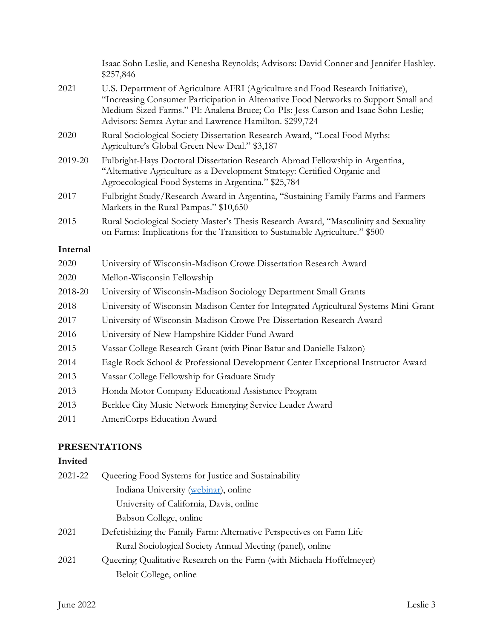|          | Isaac Sohn Leslie, and Kenesha Reynolds; Advisors: David Conner and Jennifer Hashley.<br>\$257,846                                                                                                                                                                                                                      |
|----------|-------------------------------------------------------------------------------------------------------------------------------------------------------------------------------------------------------------------------------------------------------------------------------------------------------------------------|
| 2021     | U.S. Department of Agriculture AFRI (Agriculture and Food Research Initiative),<br>"Increasing Consumer Participation in Alternative Food Networks to Support Small and<br>Medium-Sized Farms." PI: Analena Bruce; Co-PIs: Jess Carson and Isaac Sohn Leslie;<br>Advisors: Semra Aytur and Lawrence Hamilton. \$299,724 |
| 2020     | Rural Sociological Society Dissertation Research Award, "Local Food Myths:<br>Agriculture's Global Green New Deal." \$3,187                                                                                                                                                                                             |
| 2019-20  | Fulbright-Hays Doctoral Dissertation Research Abroad Fellowship in Argentina,<br>"Alternative Agriculture as a Development Strategy: Certified Organic and<br>Agroecological Food Systems in Argentina." \$25,784                                                                                                       |
| 2017     | Fulbright Study/Research Award in Argentina, "Sustaining Family Farms and Farmers<br>Markets in the Rural Pampas." \$10,650                                                                                                                                                                                             |
| 2015     | Rural Sociological Society Master's Thesis Research Award, "Masculinity and Sexuality<br>on Farms: Implications for the Transition to Sustainable Agriculture." \$500                                                                                                                                                   |
| Internal |                                                                                                                                                                                                                                                                                                                         |
| 2020     | University of Wisconsin-Madison Crowe Dissertation Research Award                                                                                                                                                                                                                                                       |
| 2020     | Mellon-Wisconsin Fellowship                                                                                                                                                                                                                                                                                             |
| 2018-20  | University of Wisconsin-Madison Sociology Department Small Grants                                                                                                                                                                                                                                                       |
| 2018     | University of Wisconsin-Madison Center for Integrated Agricultural Systems Mini-Grant                                                                                                                                                                                                                                   |
| 2017     | University of Wisconsin-Madison Crowe Pre-Dissertation Research Award                                                                                                                                                                                                                                                   |
| 2016     | University of New Hampshire Kidder Fund Award                                                                                                                                                                                                                                                                           |
| 2015     | Vassar College Research Grant (with Pinar Batur and Danielle Falzon)                                                                                                                                                                                                                                                    |
| 2014     | Eagle Rock School & Professional Development Center Exceptional Instructor Award                                                                                                                                                                                                                                        |
| 2013     | Vassar College Fellowship for Graduate Study                                                                                                                                                                                                                                                                            |
| 2013     | Honda Motor Company Educational Assistance Program                                                                                                                                                                                                                                                                      |
| 2013     | Berklee City Music Network Emerging Service Leader Award                                                                                                                                                                                                                                                                |
| 2011     | AmeriCorps Education Award                                                                                                                                                                                                                                                                                              |
|          |                                                                                                                                                                                                                                                                                                                         |

## **PRESENTATIONS**

## **Invited**

| 2021-22 | Queering Food Systems for Justice and Sustainability                  |
|---------|-----------------------------------------------------------------------|
|         | Indiana University (webinar), online                                  |
|         | University of California, Davis, online                               |
|         | Babson College, online                                                |
| 2021    | Defetishizing the Family Farm: Alternative Perspectives on Farm Life  |
|         | Rural Sociological Society Annual Meeting (panel), online             |
| 2021    | Queering Qualitative Research on the Farm (with Michaela Hoffelmeyer) |
|         | Beloit College, online                                                |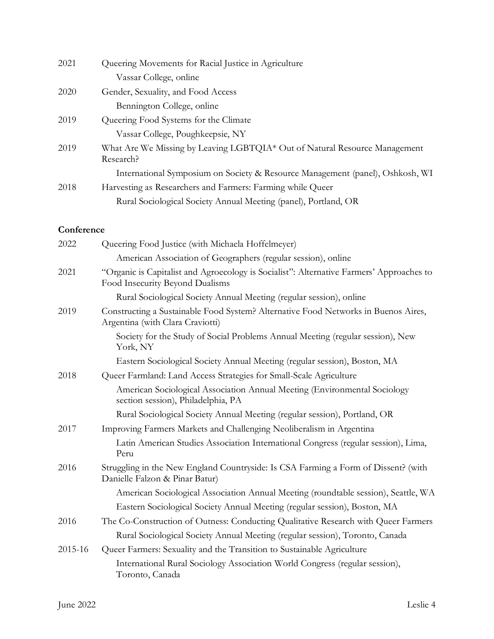| 2021 | Queering Movements for Racial Justice in Agriculture                          |
|------|-------------------------------------------------------------------------------|
|      | Vassar College, online                                                        |
| 2020 | Gender, Sexuality, and Food Access                                            |
|      | Bennington College, online                                                    |
| 2019 | Queering Food Systems for the Climate                                         |
|      | Vassar College, Poughkeepsie, NY                                              |
| 2019 | What Are We Missing by Leaving LGBTQIA* Out of Natural Resource Management    |
|      | Research?                                                                     |
|      | International Symposium on Society & Resource Management (panel), Oshkosh, WI |
| 2018 | Harvesting as Researchers and Farmers: Farming while Queer                    |
|      | Rural Sociological Society Annual Meeting (panel), Portland, OR               |

## **Conference**

| 2022    | Queering Food Justice (with Michaela Hoffelmeyer)                                                                           |
|---------|-----------------------------------------------------------------------------------------------------------------------------|
|         | American Association of Geographers (regular session), online                                                               |
| 2021    | "Organic is Capitalist and Agroecology is Socialist": Alternative Farmers' Approaches to<br>Food Insecurity Beyond Dualisms |
|         | Rural Sociological Society Annual Meeting (regular session), online                                                         |
| 2019    | Constructing a Sustainable Food System? Alternative Food Networks in Buenos Aires,<br>Argentina (with Clara Craviotti)      |
|         | Society for the Study of Social Problems Annual Meeting (regular session), New<br>York, NY                                  |
|         | Eastern Sociological Society Annual Meeting (regular session), Boston, MA                                                   |
| 2018    | Queer Farmland: Land Access Strategies for Small-Scale Agriculture                                                          |
|         | American Sociological Association Annual Meeting (Environmental Sociology<br>section session), Philadelphia, PA             |
|         | Rural Sociological Society Annual Meeting (regular session), Portland, OR                                                   |
| 2017    | Improving Farmers Markets and Challenging Neoliberalism in Argentina                                                        |
|         | Latin American Studies Association International Congress (regular session), Lima,<br>Peru                                  |
| 2016    | Struggling in the New England Countryside: Is CSA Farming a Form of Dissent? (with<br>Danielle Falzon & Pinar Batur)        |
|         | American Sociological Association Annual Meeting (roundtable session), Seattle, WA                                          |
|         | Eastern Sociological Society Annual Meeting (regular session), Boston, MA                                                   |
| 2016    | The Co-Construction of Outness: Conducting Qualitative Research with Queer Farmers                                          |
|         | Rural Sociological Society Annual Meeting (regular session), Toronto, Canada                                                |
| 2015-16 | Queer Farmers: Sexuality and the Transition to Sustainable Agriculture                                                      |
|         | International Rural Sociology Association World Congress (regular session),<br>Toronto, Canada                              |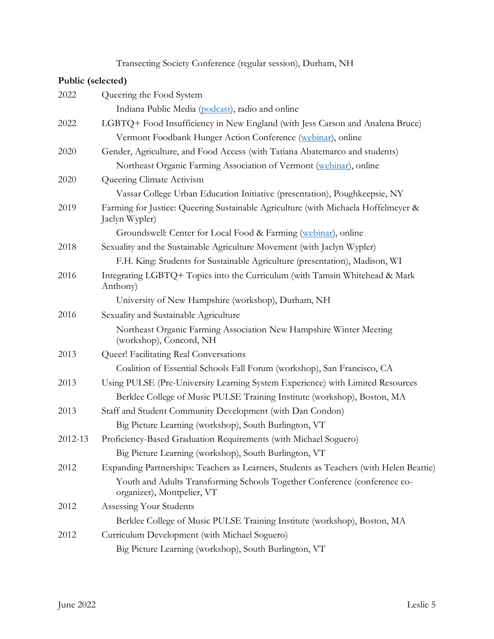Transecting Society Conference (regular session), Durham, NH

## **Public (selected)**

| 2022    | Queering the Food System                                                                                |
|---------|---------------------------------------------------------------------------------------------------------|
|         | Indiana Public Media (podcast), radio and online                                                        |
| 2022    | LGBTQ+ Food Insufficiency in New England (with Jess Carson and Analena Bruce)                           |
|         | Vermont Foodbank Hunger Action Conference (webinar), online                                             |
| 2020    | Gender, Agriculture, and Food Access (with Tatiana Abatemarco and students)                             |
|         | Northeast Organic Farming Association of Vermont (webinar), online                                      |
| 2020    | Queering Climate Activism                                                                               |
|         | Vassar College Urban Education Initiative (presentation), Poughkeepsie, NY                              |
| 2019    | Farming for Justice: Queering Sustainable Agriculture (with Michaela Hoffelmeyer &<br>Jaclyn Wypler)    |
|         | Groundswell: Center for Local Food & Farming (webinar), online                                          |
| 2018    | Sexuality and the Sustainable Agriculture Movement (with Jaclyn Wypler)                                 |
|         | F.H. King: Students for Sustainable Agriculture (presentation), Madison, WI                             |
| 2016    | Integrating LGBTQ+ Topics into the Curriculum (with Tamsin Whitehead & Mark<br>Anthony)                 |
|         | University of New Hampshire (workshop), Durham, NH                                                      |
| 2016    | Sexuality and Sustainable Agriculture                                                                   |
|         | Northeast Organic Farming Association New Hampshire Winter Meeting<br>(workshop), Concord, NH           |
| 2013    | Queer! Facilitating Real Conversations                                                                  |
|         | Coalition of Essential Schools Fall Forum (workshop), San Francisco, CA                                 |
| 2013    | Using PULSE (Pre-University Learning System Experience) with Limited Resources                          |
|         | Berklee College of Music PULSE Training Institute (workshop), Boston, MA                                |
| 2013    | Staff and Student Community Development (with Dan Condon)                                               |
|         | Big Picture Learning (workshop), South Burlington, VT                                                   |
| 2012-13 | Proficiency-Based Graduation Requirements (with Michael Soguero)                                        |
|         | Big Picture Learning (workshop), South Burlington, VT                                                   |
| 2012    | Expanding Partnerships: Teachers as Learners, Students as Teachers (with Helen Beattie)                 |
|         | Youth and Adults Transforming Schools Together Conference (conference co-<br>organizer), Montpelier, VT |
| 2012    | Assessing Your Students                                                                                 |
|         | Berklee College of Music PULSE Training Institute (workshop), Boston, MA                                |
| 2012    | Curriculum Development (with Michael Soguero)                                                           |
|         | Big Picture Learning (workshop), South Burlington, VT                                                   |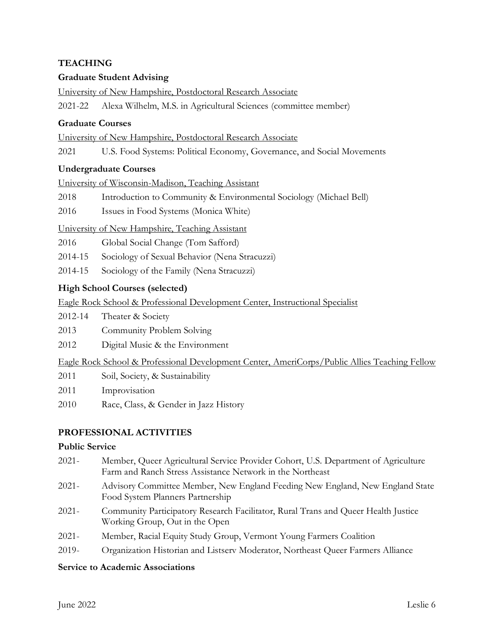## **TEACHING**

## **Graduate Student Advising**

University of New Hampshire, Postdoctoral Research Associate

2021-22 Alexa Wilhelm, M.S. in Agricultural Sciences (committee member)

### **Graduate Courses**

University of New Hampshire, Postdoctoral Research Associate

2021 U.S. Food Systems: Political Economy, Governance, and Social Movements

## **Undergraduate Courses**

University of Wisconsin-Madison, Teaching Assistant

2018 Introduction to Community & Environmental Sociology (Michael Bell)

2016 Issues in Food Systems (Monica White)

University of New Hampshire, Teaching Assistant

2016 Global Social Change (Tom Safford)

2014-15 Sociology of Sexual Behavior (Nena Stracuzzi)

2014-15 Sociology of the Family (Nena Stracuzzi)

## **High School Courses (selected)**

Eagle Rock School & Professional Development Center, Instructional Specialist

2012-14 Theater & Society

- 2013 Community Problem Solving
- 2012 Digital Music & the Environment

Eagle Rock School & Professional Development Center, AmeriCorps/Public Allies Teaching Fellow

- 2011 Soil, Society, & Sustainability
- 2011 Improvisation
- 2010 Race, Class, & Gender in Jazz History

## **PROFESSIONAL ACTIVITIES**

### **Public Service**

- 2021- Member, Queer Agricultural Service Provider Cohort, U.S. Department of Agriculture Farm and Ranch Stress Assistance Network in the Northeast
- 2021- Advisory Committee Member, New England Feeding New England, New England State Food System Planners Partnership
- 2021- Community Participatory Research Facilitator, Rural Trans and Queer Health Justice Working Group, Out in the Open
- 2021- Member, Racial Equity Study Group, Vermont Young Farmers Coalition
- 2019- Organization Historian and Listserv Moderator, Northeast Queer Farmers Alliance

#### **Service to Academic Associations**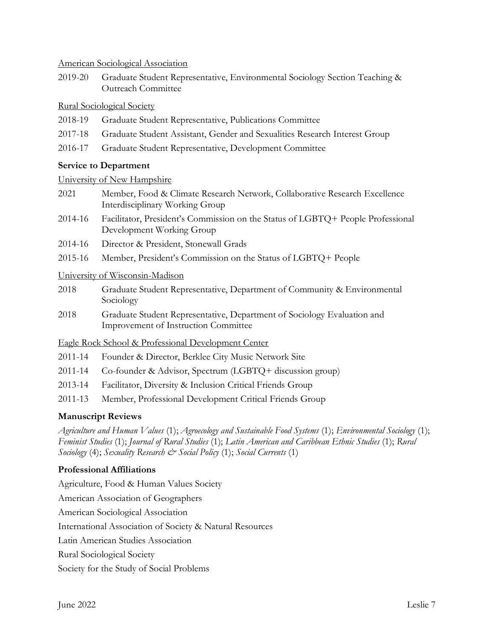American Sociological Association

2019-20 Graduate Student Representative, Environmental Sociology Section Teaching & Outreach Committee

Rural Sociological Society

- 2018-19 Graduate Student Representative, Publications Committee
- 2017-18 Graduate Student Assistant, Gender and Sexualities Research Interest Group
- 2016-17 Graduate Student Representative, Development Committee

## **Service to Department**

### University of New Hampshire

- 2021 Member, Food & Climate Research Network, Collaborative Research Excellence Interdisciplinary Working Group
- 2014-16 Facilitator, President's Commission on the Status of LGBTQ+ People Professional Development Working Group
- 2014-16 Director & President, Stonewall Grads
- 2015-16 Member, President's Commission on the Status of LGBTQ+ People

### University of Wisconsin-Madison

- 2018 Graduate Student Representative, Department of Community & Environmental Sociology
- 2018 Graduate Student Representative, Department of Sociology Evaluation and Improvement of Instruction Committee

## Eagle Rock School & Professional Development Center

- 2011-14 Founder & Director, Berklee City Music Network Site
- 2011-14 Co-founder & Advisor, Spectrum (LGBTQ+ discussion group)
- 2013-14 Facilitator, Diversity & Inclusion Critical Friends Group
- 2011-13 Member, Professional Development Critical Friends Group

## **Manuscript Reviews**

*Agriculture and Human Values* (1); *Agroecology and Sustainable Food Systems* (1); *Environmental Sociology* (1); *Feminist Studies* (1); *Journal of Rural Studies* (1); *Latin American and Caribbean Ethnic Studies* (1); *Rural Sociology* (4); *Sexuality Research*  $\breve{c}$  *Social Policy* (1); *Social Currents* (1)

## **Professional Affiliations**

Agriculture, Food & Human Values Society American Association of Geographers American Sociological Association International Association of Society & Natural Resources Latin American Studies Association Rural Sociological Society Society for the Study of Social Problems